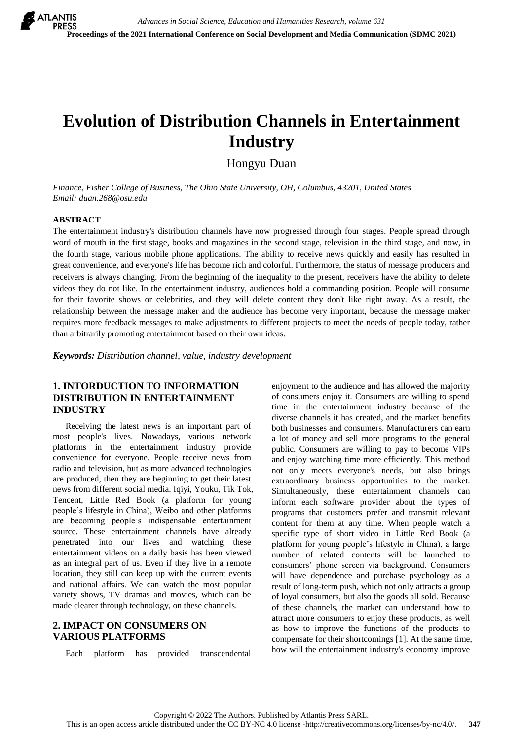# **Evolution of Distribution Channels in Entertainment Industry**

Hongyu Duan

*Finance, Fisher College of Business, The Ohio State University, OH, Columbus, 43201, United States Email: duan.268@osu.edu*

#### **ABSTRACT**

The entertainment industry's distribution channels have now progressed through four stages. People spread through word of mouth in the first stage, books and magazines in the second stage, television in the third stage, and now, in the fourth stage, various mobile phone applications. The ability to receive news quickly and easily has resulted in great convenience, and everyone's life has become rich and colorful. Furthermore, the status of message producers and receivers is always changing. From the beginning of the inequality to the present, receivers have the ability to delete videos they do not like. In the entertainment industry, audiences hold a commanding position. People will consume for their favorite shows or celebrities, and they will delete content they don't like right away. As a result, the relationship between the message maker and the audience has become very important, because the message maker requires more feedback messages to make adjustments to different projects to meet the needs of people today, rather than arbitrarily promoting entertainment based on their own ideas.

*Keywords: Distribution channel, value, industry development* 

# **1. INTORDUCTION TO INFORMATION DISTRIBUTION IN ENTERTAINMENT INDUSTRY**

Receiving the latest news is an important part of most people's lives. Nowadays, various network platforms in the entertainment industry provide convenience for everyone. People receive news from radio and television, but as more advanced technologies are produced, then they are beginning to get their latest news from different social media. Iqiyi, Youku, Tik Tok, Tencent, Little Red Book (a platform for young people's lifestyle in China), Weibo and other platforms are becoming people's indispensable entertainment source. These entertainment channels have already penetrated into our lives and watching these entertainment videos on a daily basis has been viewed as an integral part of us. Even if they live in a remote location, they still can keep up with the current events and national affairs. We can watch the most popular variety shows, TV dramas and movies, which can be made clearer through technology, on these channels.

### **2. IMPACT ON CONSUMERS ON VARIOUS PLATFORMS**

Each platform has provided transcendental

enjoyment to the audience and has allowed the majority of consumers enjoy it. Consumers are willing to spend time in the entertainment industry because of the diverse channels it has created, and the market benefits both businesses and consumers. Manufacturers can earn a lot of money and sell more programs to the general public. Consumers are willing to pay to become VIPs and enjoy watching time more efficiently. This method not only meets everyone's needs, but also brings extraordinary business opportunities to the market. Simultaneously, these entertainment channels can inform each software provider about the types of programs that customers prefer and transmit relevant content for them at any time. When people watch a specific type of short video in Little Red Book (a platform for young people's lifestyle in China), a large number of related contents will be launched to consumers' phone screen via background. Consumers will have dependence and purchase psychology as a result of long-term push, which not only attracts a group of loyal consumers, but also the goods all sold. Because of these channels, the market can understand how to attract more consumers to enjoy these products, as well as how to improve the functions of the products to compensate for their shortcomings [1]. At the same time, how will the entertainment industry's economy improve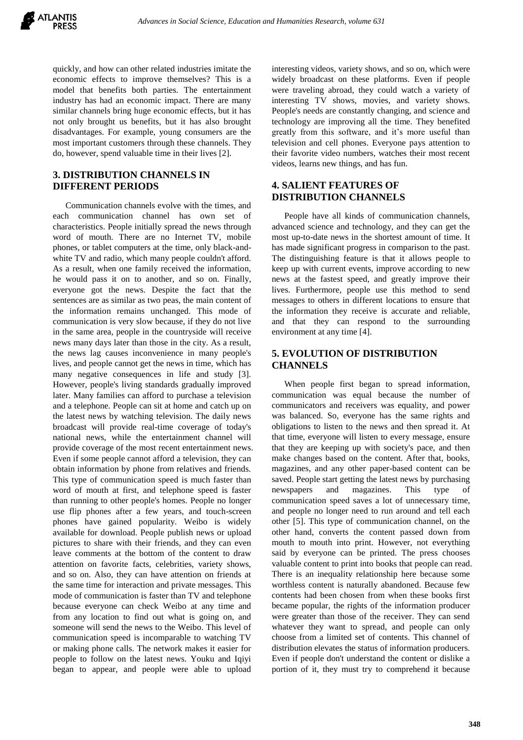

quickly, and how can other related industries imitate the economic effects to improve themselves? This is a model that benefits both parties. The entertainment industry has had an economic impact. There are many similar channels bring huge economic effects, but it has not only brought us benefits, but it has also brought disadvantages. For example, young consumers are the most important customers through these channels. They do, however, spend valuable time in their lives [2].

#### **3. DISTRIBUTION CHANNELS IN DIFFERENT PERIODS**

Communication channels evolve with the times, and each communication channel has own set of characteristics. People initially spread the news through word of mouth. There are no Internet TV, mobile phones, or tablet computers at the time, only black-andwhite TV and radio, which many people couldn't afford. As a result, when one family received the information, he would pass it on to another, and so on. Finally, everyone got the news. Despite the fact that the sentences are as similar as two peas, the main content of the information remains unchanged. This mode of communication is very slow because, if they do not live in the same area, people in the countryside will receive news many days later than those in the city. As a result, the news lag causes inconvenience in many people's lives, and people cannot get the news in time, which has many negative consequences in life and study [3]. However, people's living standards gradually improved later. Many families can afford to purchase a television and a telephone. People can sit at home and catch up on the latest news by watching television. The daily news broadcast will provide real-time coverage of today's national news, while the entertainment channel will provide coverage of the most recent entertainment news. Even if some people cannot afford a television, they can obtain information by phone from relatives and friends. This type of communication speed is much faster than word of mouth at first, and telephone speed is faster than running to other people's homes. People no longer use flip phones after a few years, and touch-screen phones have gained popularity. Weibo is widely available for download. People publish news or upload pictures to share with their friends, and they can even leave comments at the bottom of the content to draw attention on favorite facts, celebrities, variety shows, and so on. Also, they can have attention on friends at the same time for interaction and private messages. This mode of communication is faster than TV and telephone because everyone can check Weibo at any time and from any location to find out what is going on, and someone will send the news to the Weibo. This level of communication speed is incomparable to watching TV or making phone calls. The network makes it easier for people to follow on the latest news. Youku and Iqiyi began to appear, and people were able to upload

interesting videos, variety shows, and so on, which were widely broadcast on these platforms. Even if people were traveling abroad, they could watch a variety of interesting TV shows, movies, and variety shows. People's needs are constantly changing, and science and technology are improving all the time. They benefited greatly from this software, and it's more useful than television and cell phones. Everyone pays attention to their favorite video numbers, watches their most recent videos, learns new things, and has fun.

#### **4. SALIENT FEATURES OF DISTRIBUTION CHANNELS**

People have all kinds of communication channels, advanced science and technology, and they can get the most up-to-date news in the shortest amount of time. It has made significant progress in comparison to the past. The distinguishing feature is that it allows people to keep up with current events, improve according to new news at the fastest speed, and greatly improve their lives. Furthermore, people use this method to send messages to others in different locations to ensure that the information they receive is accurate and reliable, and that they can respond to the surrounding environment at any time [4].

### **5. EVOLUTION OF DISTRIBUTION CHANNELS**

When people first began to spread information, communication was equal because the number of communicators and receivers was equality, and power was balanced. So, everyone has the same rights and obligations to listen to the news and then spread it. At that time, everyone will listen to every message, ensure that they are keeping up with society's pace, and then make changes based on the content. After that, books, magazines, and any other paper-based content can be saved. People start getting the latest news by purchasing newspapers and magazines. This type of communication speed saves a lot of unnecessary time, and people no longer need to run around and tell each other [5]. This type of communication channel, on the other hand, converts the content passed down from mouth to mouth into print. However, not everything said by everyone can be printed. The press chooses valuable content to print into books that people can read. There is an inequality relationship here because some worthless content is naturally abandoned. Because few contents had been chosen from when these books first became popular, the rights of the information producer were greater than those of the receiver. They can send whatever they want to spread, and people can only choose from a limited set of contents. This channel of distribution elevates the status of information producers. Even if people don't understand the content or dislike a portion of it, they must try to comprehend it because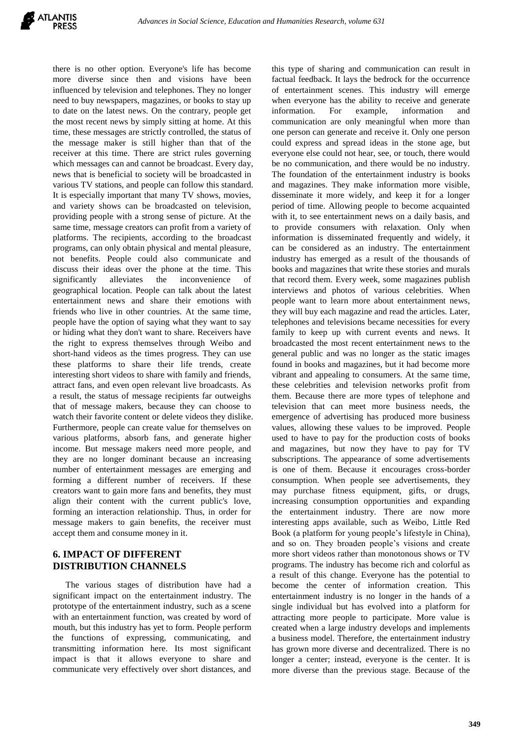

there is no other option. Everyone's life has become more diverse since then and visions have been influenced by television and telephones. They no longer need to buy newspapers, magazines, or books to stay up to date on the latest news. On the contrary, people get the most recent news by simply sitting at home. At this time, these messages are strictly controlled, the status of the message maker is still higher than that of the receiver at this time. There are strict rules governing which messages can and cannot be broadcast. Every day, news that is beneficial to society will be broadcasted in various TV stations, and people can follow this standard. It is especially important that many TV shows, movies, and variety shows can be broadcasted on television, providing people with a strong sense of picture. At the same time, message creators can profit from a variety of platforms. The recipients, according to the broadcast programs, can only obtain physical and mental pleasure, not benefits. People could also communicate and discuss their ideas over the phone at the time. This significantly alleviates the inconvenience of geographical location. People can talk about the latest entertainment news and share their emotions with friends who live in other countries. At the same time, people have the option of saying what they want to say or hiding what they don't want to share. Receivers have the right to express themselves through Weibo and short-hand videos as the times progress. They can use these platforms to share their life trends, create interesting short videos to share with family and friends, attract fans, and even open relevant live broadcasts. As a result, the status of message recipients far outweighs that of message makers, because they can choose to watch their favorite content or delete videos they dislike. Furthermore, people can create value for themselves on various platforms, absorb fans, and generate higher income. But message makers need more people, and they are no longer dominant because an increasing number of entertainment messages are emerging and forming a different number of receivers. If these creators want to gain more fans and benefits, they must align their content with the current public's love, forming an interaction relationship. Thus, in order for message makers to gain benefits, the receiver must accept them and consume money in it.

### **6. IMPACT OF DIFFERENT DISTRIBUTION CHANNELS**

The various stages of distribution have had a significant impact on the entertainment industry. The prototype of the entertainment industry, such as a scene with an entertainment function, was created by word of mouth, but this industry has yet to form. People perform the functions of expressing, communicating, and transmitting information here. Its most significant impact is that it allows everyone to share and communicate very effectively over short distances, and

this type of sharing and communication can result in factual feedback. It lays the bedrock for the occurrence of entertainment scenes. This industry will emerge when everyone has the ability to receive and generate information. For example, information and communication are only meaningful when more than one person can generate and receive it. Only one person could express and spread ideas in the stone age, but everyone else could not hear, see, or touch, there would be no communication, and there would be no industry. The foundation of the entertainment industry is books and magazines. They make information more visible, disseminate it more widely, and keep it for a longer period of time. Allowing people to become acquainted with it, to see entertainment news on a daily basis, and to provide consumers with relaxation. Only when information is disseminated frequently and widely, it can be considered as an industry. The entertainment industry has emerged as a result of the thousands of books and magazines that write these stories and murals that record them. Every week, some magazines publish interviews and photos of various celebrities. When people want to learn more about entertainment news, they will buy each magazine and read the articles. Later, telephones and televisions became necessities for every family to keep up with current events and news. It broadcasted the most recent entertainment news to the general public and was no longer as the static images found in books and magazines, but it had become more vibrant and appealing to consumers. At the same time, these celebrities and television networks profit from them. Because there are more types of telephone and television that can meet more business needs, the emergence of advertising has produced more business values, allowing these values to be improved. People used to have to pay for the production costs of books and magazines, but now they have to pay for TV subscriptions. The appearance of some advertisements is one of them. Because it encourages cross-border consumption. When people see advertisements, they may purchase fitness equipment, gifts, or drugs, increasing consumption opportunities and expanding the entertainment industry. There are now more interesting apps available, such as Weibo, Little Red Book (a platform for young people's lifestyle in China), and so on. They broaden people's visions and create more short videos rather than monotonous shows or TV programs. The industry has become rich and colorful as a result of this change. Everyone has the potential to become the center of information creation. This entertainment industry is no longer in the hands of a single individual but has evolved into a platform for attracting more people to participate. More value is created when a large industry develops and implements a business model. Therefore, the entertainment industry has grown more diverse and decentralized. There is no longer a center; instead, everyone is the center. It is more diverse than the previous stage. Because of the